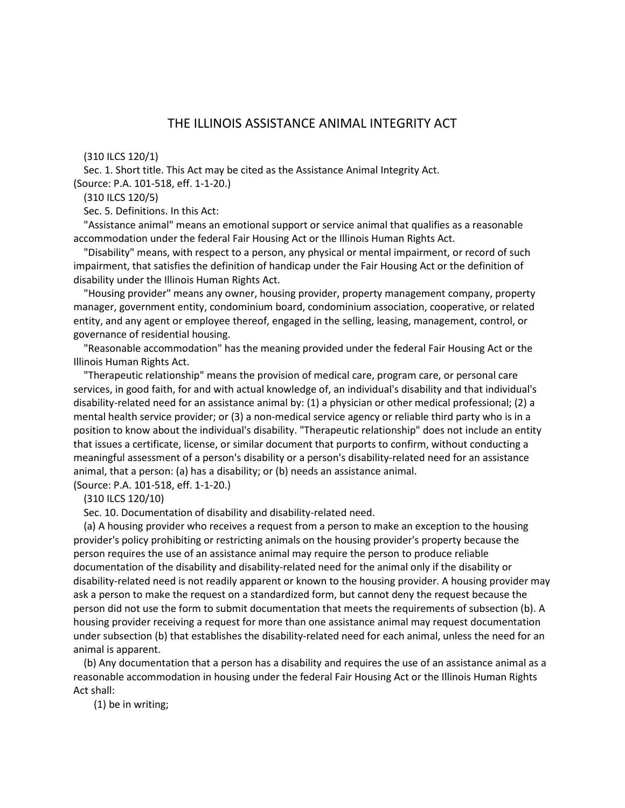## THE ILLINOIS ASSISTANCE ANIMAL INTEGRITY ACT

(310 ILCS 120/1)

Sec. 1. Short title. This Act may be cited as the Assistance Animal Integrity Act.

(Source: P.A. 101-518, eff. 1-1-20.)

(310 ILCS 120/5)

Sec. 5. Definitions. In this Act:

 "Assistance animal" means an emotional support or service animal that qualifies as a reasonable accommodation under the federal Fair Housing Act or the Illinois Human Rights Act.

 "Disability" means, with respect to a person, any physical or mental impairment, or record of such impairment, that satisfies the definition of handicap under the Fair Housing Act or the definition of disability under the Illinois Human Rights Act.

 "Housing provider" means any owner, housing provider, property management company, property manager, government entity, condominium board, condominium association, cooperative, or related entity, and any agent or employee thereof, engaged in the selling, leasing, management, control, or governance of residential housing.

 "Reasonable accommodation" has the meaning provided under the federal Fair Housing Act or the Illinois Human Rights Act.

 "Therapeutic relationship" means the provision of medical care, program care, or personal care services, in good faith, for and with actual knowledge of, an individual's disability and that individual's disability-related need for an assistance animal by: (1) a physician or other medical professional; (2) a mental health service provider; or (3) a non-medical service agency or reliable third party who is in a position to know about the individual's disability. "Therapeutic relationship" does not include an entity that issues a certificate, license, or similar document that purports to confirm, without conducting a meaningful assessment of a person's disability or a person's disability-related need for an assistance animal, that a person: (a) has a disability; or (b) needs an assistance animal.

(Source: P.A. 101-518, eff. 1-1-20.)

(310 ILCS 120/10)

Sec. 10. Documentation of disability and disability-related need.

 (a) A housing provider who receives a request from a person to make an exception to the housing provider's policy prohibiting or restricting animals on the housing provider's property because the person requires the use of an assistance animal may require the person to produce reliable documentation of the disability and disability-related need for the animal only if the disability or disability-related need is not readily apparent or known to the housing provider. A housing provider may ask a person to make the request on a standardized form, but cannot deny the request because the person did not use the form to submit documentation that meets the requirements of subsection (b). A housing provider receiving a request for more than one assistance animal may request documentation under subsection (b) that establishes the disability-related need for each animal, unless the need for an animal is apparent.

 (b) Any documentation that a person has a disability and requires the use of an assistance animal as a reasonable accommodation in housing under the federal Fair Housing Act or the Illinois Human Rights Act shall:

(1) be in writing;